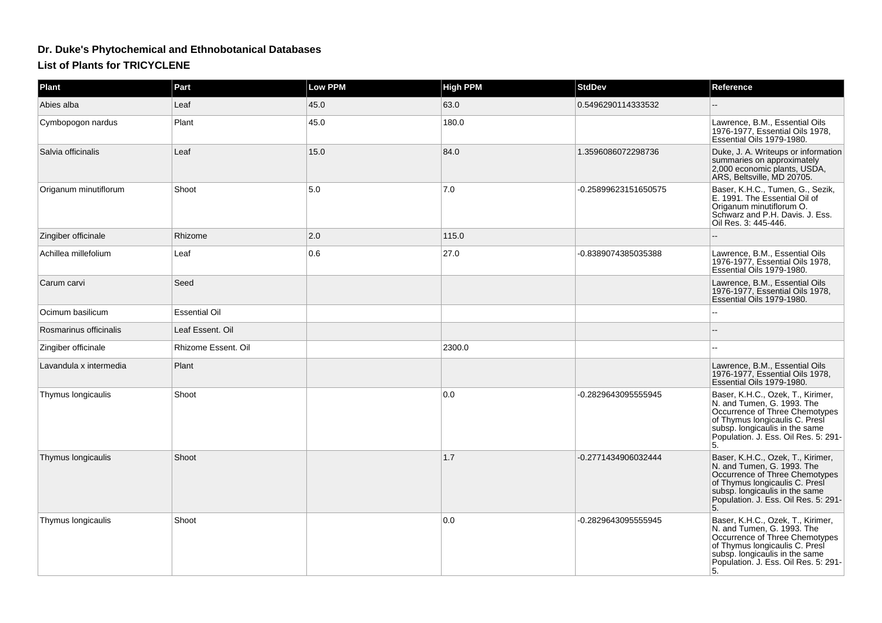## **Dr. Duke's Phytochemical and Ethnobotanical Databases**

## **List of Plants for TRICYCLENE**

| Plant                  | Part                 | <b>Low PPM</b> | <b>High PPM</b> | <b>StdDev</b>        | Reference                                                                                                                                                                                                           |
|------------------------|----------------------|----------------|-----------------|----------------------|---------------------------------------------------------------------------------------------------------------------------------------------------------------------------------------------------------------------|
| Abies alba             | Leaf                 | 45.0           | 63.0            | 0.5496290114333532   |                                                                                                                                                                                                                     |
| Cymbopogon nardus      | Plant                | 45.0           | 180.0           |                      | Lawrence, B.M., Essential Oils<br>1976-1977. Essential Oils 1978.<br>Essential Oils 1979-1980.                                                                                                                      |
| Salvia officinalis     | Leaf                 | 15.0           | 84.0            | 1.3596086072298736   | Duke, J. A. Writeups or information<br>summaries on approximately<br>2,000 economic plants, USDA,<br>ARS, Beltsville, MD 20705.                                                                                     |
| Origanum minutiflorum  | Shoot                | 5.0            | 7.0             | -0.25899623151650575 | Baser, K.H.C., Tumen, G., Sezik,<br>E. 1991. The Essential Oil of<br>Origanum minutiflorum O.<br>Schwarz and P.H. Davis. J. Ess.<br>Oil Res. 3: 445-446.                                                            |
| Zingiber officinale    | Rhizome              | 2.0            | 115.0           |                      |                                                                                                                                                                                                                     |
| Achillea millefolium   | Leaf                 | 0.6            | 27.0            | -0.8389074385035388  | Lawrence, B.M., Essential Oils<br>1976-1977, Essential Oils 1978,<br>Essential Oils 1979-1980.                                                                                                                      |
| Carum carvi            | Seed                 |                |                 |                      | Lawrence, B.M., Essential Oils<br>1976-1977, Essential Oils 1978,<br>Essential Oils 1979-1980.                                                                                                                      |
| Ocimum basilicum       | <b>Essential Oil</b> |                |                 |                      | $\sim$ $\sim$                                                                                                                                                                                                       |
| Rosmarinus officinalis | Leaf Essent. Oil     |                |                 |                      |                                                                                                                                                                                                                     |
| Zingiber officinale    | Rhizome Essent. Oil  |                | 2300.0          |                      |                                                                                                                                                                                                                     |
| Lavandula x intermedia | Plant                |                |                 |                      | Lawrence, B.M., Essential Oils<br>1976-1977, Essential Oils 1978,<br>Essential Oils 1979-1980.                                                                                                                      |
| Thymus longicaulis     | Shoot                |                | 0.0             | -0.2829643095555945  | Baser, K.H.C., Ozek, T., Kirimer,<br>N. and Tumen, G. 1993. The<br>Occurrence of Three Chemotypes<br>of Thymus longicaulis C. Presi<br>subsp. longicaulis in the same<br>Population. J. Ess. Oil Res. 5: 291-<br>5. |
| Thymus longicaulis     | Shoot                |                | 1.7             | -0.2771434906032444  | Baser, K.H.C., Ozek, T., Kirimer,<br>N. and Tumen, G. 1993. The<br>Occurrence of Three Chemotypes<br>of Thymus longicaulis C. Presl<br>subsp. longicaulis in the same<br>Population. J. Ess. Oil Res. 5: 291-<br>5. |
| Thymus longicaulis     | Shoot                |                | 0.0             | -0.2829643095555945  | Baser, K.H.C., Ozek, T., Kirimer,<br>N. and Tumen, G. 1993. The<br>Occurrence of Three Chemotypes<br>of Thymus longicaulis C. Presi<br>subsp. longicaulis in the same<br>Population. J. Ess. Oil Res. 5: 291-<br>5. |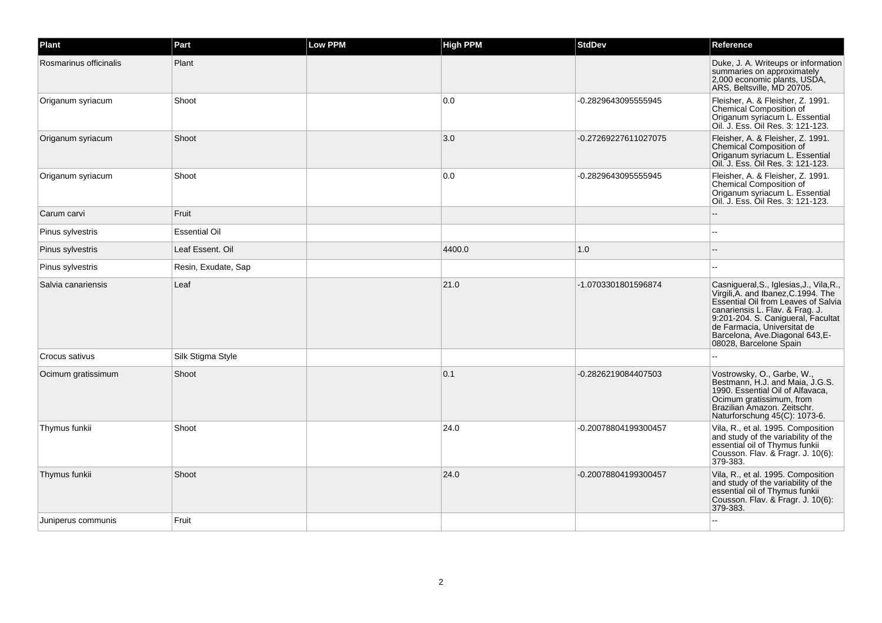| Plant                  | Part                 | <b>Low PPM</b> | <b>High PPM</b> | <b>StdDev</b>        | Reference                                                                                                                                                                                                                                                                                   |
|------------------------|----------------------|----------------|-----------------|----------------------|---------------------------------------------------------------------------------------------------------------------------------------------------------------------------------------------------------------------------------------------------------------------------------------------|
| Rosmarinus officinalis | Plant                |                |                 |                      | Duke, J. A. Writeups or information<br>summaries on approximately<br>2,000 economic plants, USDA,<br>ARS, Beltsville, MD 20705.                                                                                                                                                             |
| Origanum syriacum      | Shoot                |                | 0.0             | -0.2829643095555945  | Fleisher, A. & Fleisher, Z. 1991.<br>Chemical Composition of<br>Origanum syriacum L. Essential<br>Oil. J. Ess. Oil Res. 3: 121-123.                                                                                                                                                         |
| Origanum syriacum      | Shoot                |                | 3.0             | -0.27269227611027075 | Fleisher, A. & Fleisher, Z. 1991.<br>Chemical Composition of<br>Origanum syriacum L. Essential<br>Oil. J. Ess. Oil Res. 3: 121-123.                                                                                                                                                         |
| Origanum syriacum      | Shoot                |                | 0.0             | -0.2829643095555945  | Fleisher, A. & Fleisher, Z. 1991.<br>Chemical Composition of<br>Origanum syriacum L. Essential<br>Oil. J. Ess. Oil Res. 3: 121-123.                                                                                                                                                         |
| Carum carvi            | Fruit                |                |                 |                      |                                                                                                                                                                                                                                                                                             |
| Pinus sylvestris       | <b>Essential Oil</b> |                |                 |                      |                                                                                                                                                                                                                                                                                             |
| Pinus sylvestris       | Leaf Essent. Oil     |                | 4400.0          | 1.0                  |                                                                                                                                                                                                                                                                                             |
| Pinus sylvestris       | Resin, Exudate, Sap  |                |                 |                      |                                                                                                                                                                                                                                                                                             |
| Salvia canariensis     | Leaf                 |                | 21.0            | -1.0703301801596874  | Casnigueral, S., Iglesias, J., Vila, R.,<br>Virgili, A. and Ibanez, C.1994. The<br>Essential Oil from Leaves of Salvia<br>canariensis L. Flav. & Frag. J.<br>9:201-204. S. Canigueral, Facultat<br>de Farmacia, Universitat de<br>Barcelona, Ave.Diagonal 643, E-<br>08028, Barcelone Spain |
| Crocus sativus         | Silk Stigma Style    |                |                 |                      | ۵.                                                                                                                                                                                                                                                                                          |
| Ocimum gratissimum     | Shoot                |                | 0.1             | -0.2826219084407503  | Vostrowsky, O., Garbe, W.,<br>Bestmann, H.J. and Maia, J.G.S.<br>1990. Essential Oil of Alfavaca,<br>Ocimum gratissimum, from<br>Brazilian Amazon. Zeitschr.<br>Naturforschung 45(C): 1073-6.                                                                                               |
| Thymus funkii          | Shoot                |                | 24.0            | -0.20078804199300457 | Vila, R., et al. 1995. Composition<br>and study of the variability of the<br>essential oil of Thymus funkii<br>Cousson. Flav. & Fragr. J. 10(6):<br>379-383.                                                                                                                                |
| Thymus funkii          | Shoot                |                | 24.0            | -0.20078804199300457 | Vila, R., et al. 1995. Composition<br>and study of the variability of the<br>essential oil of Thymus funkii<br>Cousson. Flav. & Fragr. J. 10(6):<br>379-383.                                                                                                                                |
| Juniperus communis     | Fruit                |                |                 |                      |                                                                                                                                                                                                                                                                                             |